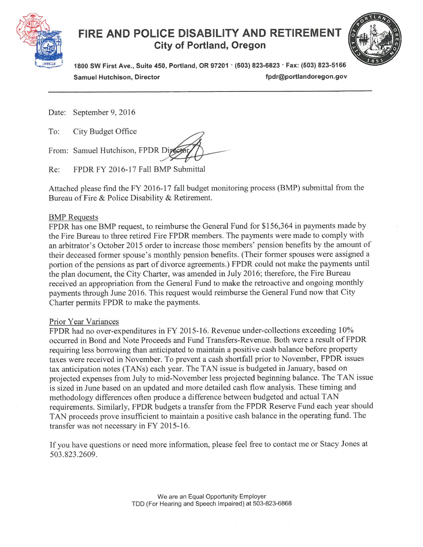

# FIRE AND POLICE DISABILITY AND RETIREMENT **City of Portland, Oregon**



1800 SW First Ave., Suite 450, Portland, OR 97201 · (503) 823-6823 · Fax: (503) 823-5166 fpdr@portlandoregon.gov **Samuel Hutchison, Director** 

Date: September 9, 2016

To: City Budget Office

From: Samuel Hutchison, FPDR Diper

FPDR FY 2016-17 Fall BMP Submittal Re:

Attached please find the FY 2016-17 fall budget monitoring process (BMP) submittal from the Bureau of Fire & Police Disability & Retirement.

### **BMP** Requests

FPDR has one BMP request, to reimburse the General Fund for \$156,364 in payments made by the Fire Bureau to three retired Fire FPDR members. The payments were made to comply with an arbitrator's October 2015 order to increase those members' pension benefits by the amount of their deceased former spouse's monthly pension benefits. (Their former spouses were assigned a portion of the pensions as part of divorce agreements.) FPDR could not make the payments until the plan document, the City Charter, was amended in July 2016; therefore, the Fire Bureau received an appropriation from the General Fund to make the retroactive and ongoing monthly payments through June 2016. This request would reimburse the General Fund now that City Charter permits FPDR to make the payments.

### Prior Year Variances

FPDR had no over-expenditures in FY 2015-16. Revenue under-collections exceeding 10% occurred in Bond and Note Proceeds and Fund Transfers-Revenue. Both were a result of FPDR requiring less borrowing than anticipated to maintain a positive cash balance before property taxes were received in November. To prevent a cash shortfall prior to November, FPDR issues tax anticipation notes (TANs) each year. The TAN issue is budgeted in January, based on projected expenses from July to mid-November less projected beginning balance. The TAN issue is sized in June based on an updated and more detailed cash flow analysis. These timing and methodology differences often produce a difference between budgeted and actual TAN requirements. Similarly, FPDR budgets a transfer from the FPDR Reserve Fund each year should TAN proceeds prove insufficient to maintain a positive cash balance in the operating fund. The transfer was not necessary in FY 2015-16.

If you have questions or need more information, please feel free to contact me or Stacy Jones at 503.823.2609.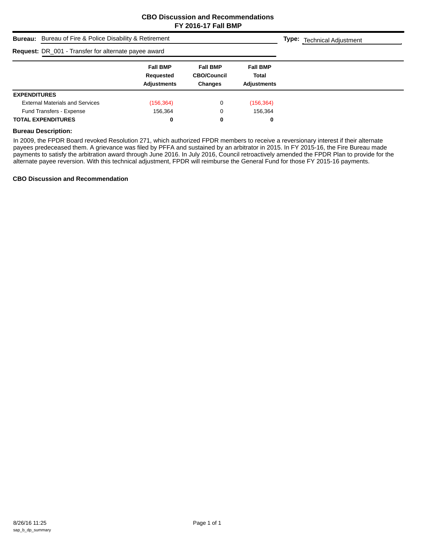### **CBO Discussion and Recommendations FY 2016-17 Fall BMP**

| <b>Bureau:</b> Bureau of Fire & Police Disability & Retirement | <b>Type:</b> Technical Adjustment                  |                                                  |                                                |  |
|----------------------------------------------------------------|----------------------------------------------------|--------------------------------------------------|------------------------------------------------|--|
| <b>Request:</b> DR_001 - Transfer for alternate payee award    |                                                    |                                                  |                                                |  |
|                                                                | <b>Fall BMP</b><br>Requested<br><b>Adjustments</b> | <b>Fall BMP</b><br><b>CBO/Council</b><br>Changes | <b>Fall BMP</b><br>Total<br><b>Adiustments</b> |  |
| <b>EXPENDITURES</b>                                            |                                                    |                                                  |                                                |  |
| <b>External Materials and Services</b>                         | (156,364)                                          | 0                                                | (156, 364)                                     |  |
| Fund Transfers - Expense                                       | 156.364                                            | 0                                                | 156.364                                        |  |
| <b>TOTAL EXPENDITURES</b>                                      | 0                                                  | 0                                                | 0                                              |  |

#### **Bureau Description:**

In 2009, the FPDR Board revoked Resolution 271, which authorized FPDR members to receive a reversionary interest if their alternate payees predeceased them. A grievance was filed by PFFA and sustained by an arbitrator in 2015. In FY 2015-16, the Fire Bureau made payments to satisfy the arbitration award through June 2016. In July 2016, Council retroactively amended the FPDR Plan to provide for the alternate payee reversion. With this technical adjustment, FPDR will reimburse the General Fund for those FY 2015-16 payments.

#### **CBO Discussion and Recommendation**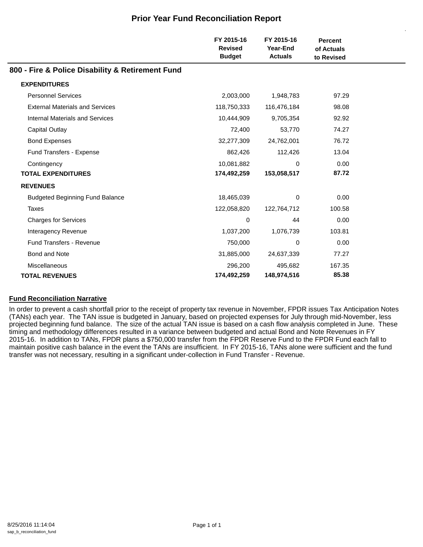|                                                  | FY 2015-16<br><b>Revised</b><br><b>Budget</b> | FY 2015-16<br>Year-End<br><b>Actuals</b> | <b>Percent</b><br>of Actuals<br>to Revised |  |
|--------------------------------------------------|-----------------------------------------------|------------------------------------------|--------------------------------------------|--|
| 800 - Fire & Police Disability & Retirement Fund |                                               |                                          |                                            |  |
| <b>EXPENDITURES</b>                              |                                               |                                          |                                            |  |
| <b>Personnel Services</b>                        | 2,003,000                                     | 1,948,783                                | 97.29                                      |  |
| <b>External Materials and Services</b>           | 118,750,333                                   | 116,476,184                              | 98.08                                      |  |
| Internal Materials and Services                  | 10,444,909                                    | 9,705,354                                | 92.92                                      |  |
| <b>Capital Outlay</b>                            | 72,400                                        | 53,770                                   | 74.27                                      |  |
| <b>Bond Expenses</b>                             | 32,277,309                                    | 24,762,001                               | 76.72                                      |  |
| Fund Transfers - Expense                         | 862,426                                       | 112,426                                  | 13.04                                      |  |
| Contingency                                      | 10,081,882                                    | $\Omega$                                 | 0.00                                       |  |
| <b>TOTAL EXPENDITURES</b>                        | 174,492,259                                   | 153,058,517                              | 87.72                                      |  |
| <b>REVENUES</b>                                  |                                               |                                          |                                            |  |
| <b>Budgeted Beginning Fund Balance</b>           | 18,465,039                                    | 0                                        | 0.00                                       |  |
| <b>Taxes</b>                                     | 122,058,820                                   | 122,764,712                              | 100.58                                     |  |
| <b>Charges for Services</b>                      | 0                                             | 44                                       | 0.00                                       |  |
| Interagency Revenue                              | 1,037,200                                     | 1,076,739                                | 103.81                                     |  |
| <b>Fund Transfers - Revenue</b>                  | 750,000                                       | 0                                        | 0.00                                       |  |
| <b>Bond and Note</b>                             | 31,885,000                                    | 24,637,339                               | 77.27                                      |  |
| <b>Miscellaneous</b>                             | 296,200                                       | 495,682                                  | 167.35                                     |  |
| <b>TOTAL REVENUES</b>                            | 174,492,259                                   | 148,974,516                              | 85.38                                      |  |
|                                                  |                                               |                                          |                                            |  |

## **Prior Year Fund Reconciliation Report**

### **Fund Reconciliation Narrative**

In order to prevent a cash shortfall prior to the receipt of property tax revenue in November, FPDR issues Tax Anticipation Notes (TANs) each year. The TAN issue is budgeted in January, based on projected expenses for July through mid-November, less projected beginning fund balance. The size of the actual TAN issue is based on a cash flow analysis completed in June. These timing and methodology differences resulted in a variance between budgeted and actual Bond and Note Revenues in FY 2015-16. In addition to TANs, FPDR plans a \$750,000 transfer from the FPDR Reserve Fund to the FPDR Fund each fall to maintain positive cash balance in the event the TANs are insufficient. In FY 2015-16, TANs alone were sufficient and the fund transfer was not necessary, resulting in a significant under-collection in Fund Transfer - Revenue.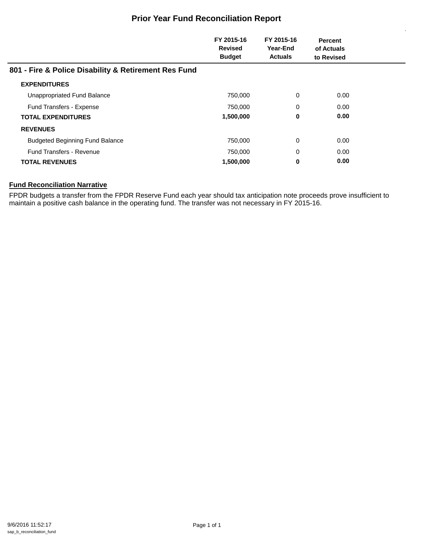## **Prior Year Fund Reconciliation Report**

|                                                      | FY 2015-16<br><b>Revised</b><br><b>Budget</b> | FY 2015-16<br>Year-End<br><b>Actuals</b> | <b>Percent</b><br>of Actuals<br>to Revised |  |
|------------------------------------------------------|-----------------------------------------------|------------------------------------------|--------------------------------------------|--|
| 801 - Fire & Police Disability & Retirement Res Fund |                                               |                                          |                                            |  |
| <b>EXPENDITURES</b>                                  |                                               |                                          |                                            |  |
| Unappropriated Fund Balance                          | 750,000                                       | 0                                        | 0.00                                       |  |
| Fund Transfers - Expense                             | 750.000                                       | 0                                        | 0.00                                       |  |
| <b>TOTAL EXPENDITURES</b>                            | 1,500,000                                     | 0                                        | 0.00                                       |  |
| <b>REVENUES</b>                                      |                                               |                                          |                                            |  |
| <b>Budgeted Beginning Fund Balance</b>               | 750,000                                       | 0                                        | 0.00                                       |  |
| <b>Fund Transfers - Revenue</b>                      | 750,000                                       | 0                                        | 0.00                                       |  |
| <b>TOTAL REVENUES</b>                                | 1,500,000                                     | 0                                        | 0.00                                       |  |

### **Fund Reconciliation Narrative**

FPDR budgets a transfer from the FPDR Reserve Fund each year should tax anticipation note proceeds prove insufficient to maintain a positive cash balance in the operating fund. The transfer was not necessary in FY 2015-16.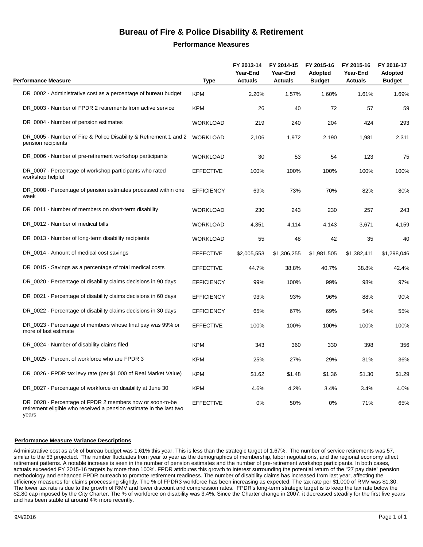## **Bureau of Fire & Police Disability & Retirement**

#### **Performance Measures**

| <b>Performance Measure</b>                                                                                                      | <b>Type</b>       | FY 2013-14<br>Year-End<br><b>Actuals</b> | FY 2014-15<br>Year-End<br><b>Actuals</b> | FY 2015-16<br>Adopted<br><b>Budget</b> | FY 2015-16<br>Year-End<br><b>Actuals</b> | FY 2016-17<br>Adopted<br><b>Budget</b> |
|---------------------------------------------------------------------------------------------------------------------------------|-------------------|------------------------------------------|------------------------------------------|----------------------------------------|------------------------------------------|----------------------------------------|
|                                                                                                                                 |                   |                                          |                                          |                                        |                                          |                                        |
| DR_0002 - Administrative cost as a percentage of bureau budget                                                                  | <b>KPM</b>        | 2.20%                                    | 1.57%                                    | 1.60%                                  | 1.61%                                    | 1.69%                                  |
| DR_0003 - Number of FPDR 2 retirements from active service                                                                      | <b>KPM</b>        | 26                                       | 40                                       | 72                                     | 57                                       | 59                                     |
| DR_0004 - Number of pension estimates                                                                                           | <b>WORKLOAD</b>   | 219                                      | 240                                      | 204                                    | 424                                      | 293                                    |
| DR_0005 - Number of Fire & Police Disability & Retirement 1 and 2<br>pension recipients                                         | WORKLOAD          | 2,106                                    | 1,972                                    | 2,190                                  | 1,981                                    | 2,311                                  |
| DR_0006 - Number of pre-retirement workshop participants                                                                        | <b>WORKLOAD</b>   | 30                                       | 53                                       | 54                                     | 123                                      | 75                                     |
| DR_0007 - Percentage of workshop participants who rated<br>workshop helpful                                                     | <b>EFFECTIVE</b>  | 100%                                     | 100%                                     | 100%                                   | 100%                                     | 100%                                   |
| DR_0008 - Percentage of pension estimates processed within one<br>week                                                          | <b>EFFICIENCY</b> | 69%                                      | 73%                                      | 70%                                    | 82%                                      | 80%                                    |
| DR_0011 - Number of members on short-term disability                                                                            | <b>WORKLOAD</b>   | 230                                      | 243                                      | 230                                    | 257                                      | 243                                    |
| DR_0012 - Number of medical bills                                                                                               | <b>WORKLOAD</b>   | 4,351                                    | 4,114                                    | 4,143                                  | 3,671                                    | 4,159                                  |
| DR_0013 - Number of long-term disability recipients                                                                             | <b>WORKLOAD</b>   | 55                                       | 48                                       | 42                                     | 35                                       | 40                                     |
| DR_0014 - Amount of medical cost savings                                                                                        | <b>EFFECTIVE</b>  | \$2,005,553                              | \$1,306,255                              | \$1,981,505                            | \$1,382,411                              | \$1,298,046                            |
| DR_0015 - Savings as a percentage of total medical costs                                                                        | <b>EFFECTIVE</b>  | 44.7%                                    | 38.8%                                    | 40.7%                                  | 38.8%                                    | 42.4%                                  |
| DR_0020 - Percentage of disability claims decisions in 90 days                                                                  | <b>EFFICIENCY</b> | 99%                                      | 100%                                     | 99%                                    | 98%                                      | 97%                                    |
| DR_0021 - Percentage of disability claims decisions in 60 days                                                                  | <b>EFFICIENCY</b> | 93%                                      | 93%                                      | 96%                                    | 88%                                      | 90%                                    |
| DR_0022 - Percentage of disability claims decisions in 30 days                                                                  | <b>EFFICIENCY</b> | 65%                                      | 67%                                      | 69%                                    | 54%                                      | 55%                                    |
| DR_0023 - Percentage of members whose final pay was 99% or<br>more of last estimate                                             | <b>EFFECTIVE</b>  | 100%                                     | 100%                                     | 100%                                   | 100%                                     | 100%                                   |
| DR_0024 - Number of disability claims filed                                                                                     | <b>KPM</b>        | 343                                      | 360                                      | 330                                    | 398                                      | 356                                    |
| DR_0025 - Percent of workforce who are FPDR 3                                                                                   | <b>KPM</b>        | 25%                                      | 27%                                      | 29%                                    | 31%                                      | 36%                                    |
| DR_0026 - FPDR tax levy rate (per \$1,000 of Real Market Value)                                                                 | <b>KPM</b>        | \$1.62                                   | \$1.48                                   | \$1.36                                 | \$1.30                                   | \$1.29                                 |
| DR_0027 - Percentage of workforce on disability at June 30                                                                      | <b>KPM</b>        | 4.6%                                     | 4.2%                                     | 3.4%                                   | 3.4%                                     | 4.0%                                   |
| DR_0028 - Percentage of FPDR 2 members now or soon-to-be<br>retirement eligible who received a pension estimate in the last two | <b>EFFECTIVE</b>  | 0%                                       | 50%                                      | 0%                                     | 71%                                      | 65%                                    |

years

#### **Performance Measure Variance Descriptions**

Administrative cost as a % of bureau budget was 1.61% this year. This is less than the strategic target of 1.67%. The number of service retirements was 57, similar to the 53 projected. The number fluctuates from year to year as the demographics of membership, labor negotiations, and the regional economy affect retirement patterns. A notable increase is seen in the number of pension estimates and the number of pre-retirement workshop participants. In both cases, actuals exceeded FY 2015-16 targets by more than 100%. FPDR attributes this growth to interest surrounding the potential return of the "27 pay date" pension methodology and enhanced FPDR outreach to promote retirement readiness. The number of disability claims has increased from last year, affecting the efficiency measures for claims proecessing slightly. The % of FPDR3 workforce has been increasing as expected. The tax rate per \$1,000 of RMV was \$1.30. The lower tax rate is due to the growth of RMV and lower discount and compression rates. FPDR's long-term strategic target is to keep the tax rate below the \$2.80 cap imposed by the City Charter. The % of workforce on disability was 3.4%. Since the Charter change in 2007, it decreased steadily for the first five years and has been stable at around 4% more recently.